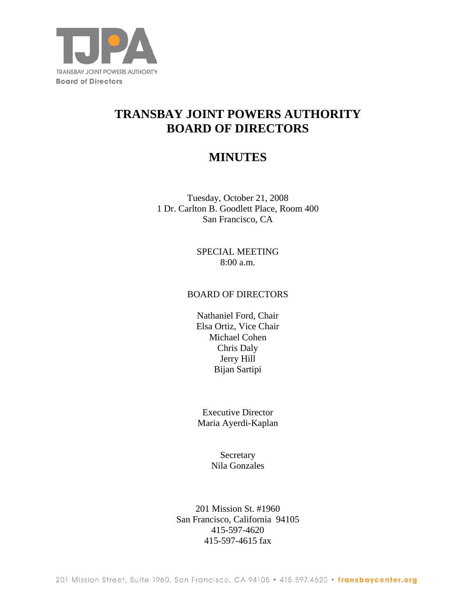

# **TRANSBAY JOINT POWERS AUTHORITY BOARD OF DIRECTORS**

# **MINUTES**

Tuesday, October 21, 2008 1 Dr. Carlton B. Goodlett Place, Room 400 San Francisco, CA

> SPECIAL MEETING 8:00 a.m.

### BOARD OF DIRECTORS

Nathaniel Ford, Chair Elsa Ortiz, Vice Chair Michael Cohen Chris Daly Jerry Hill Bijan Sartipi

Executive Director Maria Ayerdi-Kaplan

> Secretary Nila Gonzales

201 Mission St. #1960 San Francisco, California 94105 415-597-4620 415-597-4615 fax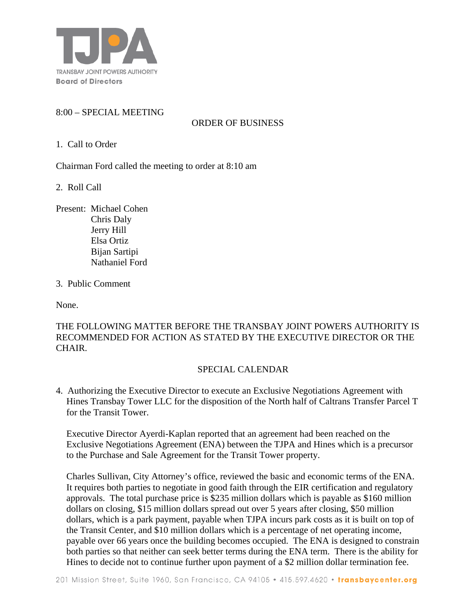

# 8:00 – SPECIAL MEETING

# ORDER OF BUSINESS

1. Call to Order

Chairman Ford called the meeting to order at 8:10 am

2. Roll Call

Present: Michael Cohen Chris Daly Jerry Hill Elsa Ortiz Bijan Sartipi Nathaniel Ford

3. Public Comment

None.

THE FOLLOWING MATTER BEFORE THE TRANSBAY JOINT POWERS AUTHORITY IS RECOMMENDED FOR ACTION AS STATED BY THE EXECUTIVE DIRECTOR OR THE CHAIR.

#### SPECIAL CALENDAR

4. Authorizing the Executive Director to execute an Exclusive Negotiations Agreement with Hines Transbay Tower LLC for the disposition of the North half of Caltrans Transfer Parcel T for the Transit Tower.

Executive Director Ayerdi-Kaplan reported that an agreement had been reached on the Exclusive Negotiations Agreement (ENA) between the TJPA and Hines which is a precursor to the Purchase and Sale Agreement for the Transit Tower property.

Charles Sullivan, City Attorney's office, reviewed the basic and economic terms of the ENA. It requires both parties to negotiate in good faith through the EIR certification and regulatory approvals. The total purchase price is \$235 million dollars which is payable as \$160 million dollars on closing, \$15 million dollars spread out over 5 years after closing, \$50 million dollars, which is a park payment, payable when TJPA incurs park costs as it is built on top of the Transit Center, and \$10 million dollars which is a percentage of net operating income, payable over 66 years once the building becomes occupied. The ENA is designed to constrain both parties so that neither can seek better terms during the ENA term. There is the ability for Hines to decide not to continue further upon payment of a \$2 million dollar termination fee.